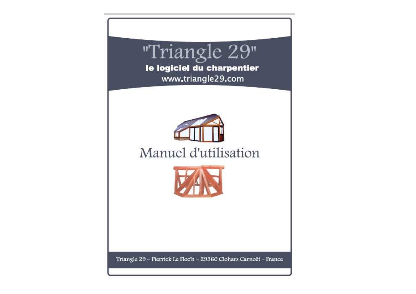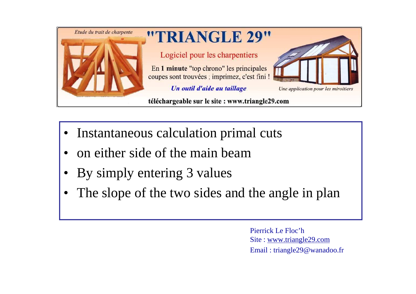

- •Instantaneous calculation primal cuts
- •on either side of the main beam
- •By simply entering 3 values
- •The slope of the two sides and the angle in plan

Pierrick Le Floc'hSite : www.triangle29.com Email : triangle29@wanadoo.fr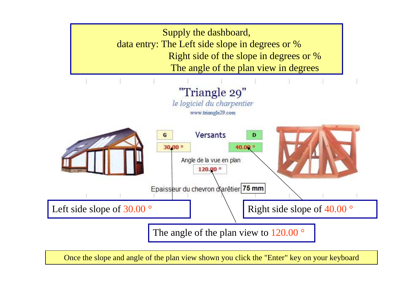

Once the slope and angle of the plan view shown you click the "Enter" key on your keyboard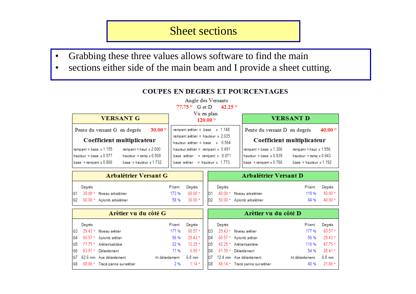#### Sheet sections

- •Grabbing these three values allows software to find the main
- sections either side of the main beam and I provide a sheet cutting. •

#### Angle des Versants 77.75 ° G et D 42.25 ° Vu en plan **VERSANT G VERSANT D**  $120.00^{\circ}$ Pente du versant G en degrés  $30.00^{\circ}$ rampant arêtier = base  $x$  1.148 Pente du versant D en degrés 40.00 $^{\circ}$ rampant arêtier = hauteur  $x$  2.035 Coefficient multiplicateur Coefficient multiplicateur hauteur arêtier = base  $x$  0.564 rampant = haut  $x$  1.556 rampant = base  $x$  1.155 rampant = haut  $x 2.000$ hauteur arêtier = rampant  $x$  0.491 rampant = base  $\times$  1.306 hauteur = base  $\times$  0.577 hauteur = ramp  $x 0.500$ base arêtier = rampant  $x$  0.871 hauteur = base  $\times$  0.839 hauteur = ramp  $x 0.643$ base arêtier = hauteur x  $1.773$ base = rampant  $x$  0.866 base = hauteur  $x$  1.732  $base =$ rampant x 0.766 base = hauteur  $x$  1.192

| Arbalétrier Versant G |        |                               |        |        |  |        | Arbalétrier Versant D                       |        |                       |
|-----------------------|--------|-------------------------------|--------|--------|--|--------|---------------------------------------------|--------|-----------------------|
|                       | Degrés |                               | P/cent | Degrés |  | Degrés |                                             | P/cent | Degrés                |
|                       |        | G1 30.00 ° Niveau arbalétrier |        |        |  |        | 173 % 60.00 ° D1 40.00 ° Niveau arbalétrier |        | 119 % 50.00 °         |
|                       |        | G2 60.00 ° Aplomb arbalétrier |        |        |  |        | 58 % 30.00 ° D2 50.00 ° Aplomb arbalétrier  |        | $84\%$ $40.00\degree$ |

|    |        | Arêtier vu du côté G               |                | Arêtier vu du côté D |                 |                |                                 |                |                  |
|----|--------|------------------------------------|----------------|----------------------|-----------------|----------------|---------------------------------|----------------|------------------|
|    | Degrés |                                    | P/cent         | Degrés               |                 | Degrés         |                                 | P/cent         | Degrés           |
| G3 |        | 29.43 ° Niveau arêtier             | 177 %          | $60.57 -$            |                 |                | 29.43 ° Niveau arêtier          | 177 %          | 60.57            |
|    |        | G4 60.57 ° Aplomb arêtier          | 56 %           | $29.43$ $\cdot$      | ID <sub>4</sub> |                | 60.57 ° Aplomb arêtier          | 56 %           | 29.43            |
|    |        | G5 77.75 ° Arêtier/sablière        | 22 %           | $12.25$ $^{\circ}$   | D5              |                | 42.25 ° Arêtier/sablière        | 110 %          | 47.75            |
|    |        | G6 83.91 º Délardement             | 11 %           | $6.09 -$             |                 | D <sub>6</sub> | 61.59 ° Délardement             | 54 %           | 28.41            |
|    |        | G7 62.6 mm Axe délardement         | ht délardement | $6.8 \text{ mm}$     | ID7             |                | 12.4 mm Axe délardement         | ht délardement | $6.8 \text{ mm}$ |
|    |        | G8 88.86 ° Tracé panne sur arêtier | 2 %            | $1.14 -$             |                 | D8             | 68.14 ° Tracé panne sur arêtier | 40 %           | 21.86            |

#### **COUPES EN DEGRES ET POURCENTAGES**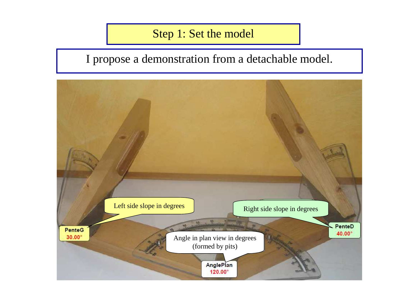# Step 1: Set the model

# I propose a demonstration from a detachable model.

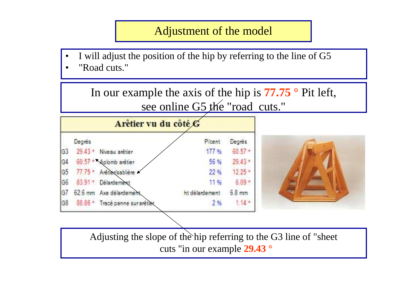### Adjustment of the model

• I will adjust the position of the hip by referring to the line of G5•"Road cuts."



cuts "in our example **29.43 °**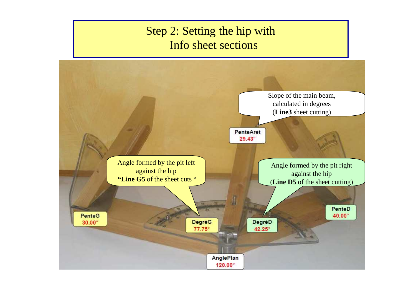# Step 2: Setting the hip withInfo sheet sections

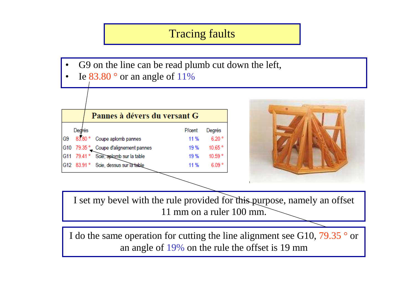# Tracing faults

- •G9 on the line can be read plumb cut down the left,
- •Ie  $83.80^\circ$  or an angle of 11%

|                |        | Pannes à dévers du versant G          |               |         |  |  |  |
|----------------|--------|---------------------------------------|---------------|---------|--|--|--|
|                | Degrés |                                       | <b>P/cent</b> | Degrés  |  |  |  |
| G <sub>9</sub> |        | 83.80 ° Coupe aplomb pannes           | 11 %          | 6.20°   |  |  |  |
|                |        | G10 79.35 ° Coupe d'alignement pannes | 19 %          | 10.65°  |  |  |  |
|                |        | G11 79.41 ° Scie, aplomb sur la table | 19%           | 10.59 ° |  |  |  |
|                |        | G12 83.91 ° Scie, dessus sur la table | 11 %          | 6.09°   |  |  |  |



I set my bevel with the rule provided for this purpose, namely an offset11 mm on a ruler 100 mm.

I do the same operation for cutting the line alignment see G10, 79.35  $^{\circ}$  or an angle of 19% on the rule the offset is 19 mm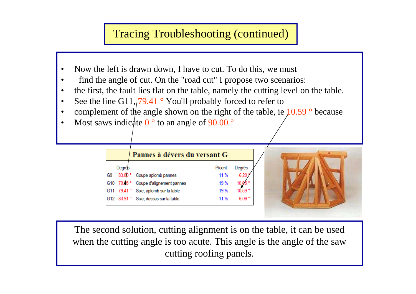## Tracing Troubleshooting (continued)

- •Now the left is drawn down, I have to cut. To do this, we must
- •find the angle of cut. On the "road cut" I propose two scenarios:
- •the first, the fault lies flat on the table, namely the cutting level on the table.
- •See the line G11,  $79.41$  ° You'll probably forced to refer to
- complement of the angle shown on the right of the table, ie  $10.59$  ° because •
- •Most saws indicate  $0^{\circ}$  to an angle of 90.00  $^{\circ}$

|                |            | Pannes à dévers du versant G          |                |        |
|----------------|------------|---------------------------------------|----------------|--------|
|                | Degrés     |                                       | <b>P</b> /cent | Degrés |
| G <sub>9</sub> | 83.80°     | Coupe aplomb pannes                   | 11 %           | 6.20   |
|                | G10 79.35° | Coupe d'alignement pannes             | 19%            |        |
|                |            | G11 79.41 ° Scie, aplomb sur la table | 19%            | 10.59° |
|                |            | G12 83.91 ° Scie, dessus sur la table | 11 %           | 609°   |



The second solution, cutting alignment is on the table, it can be used when the cutting angle is too acute. This angle is the angle of the sawcutting roofing panels.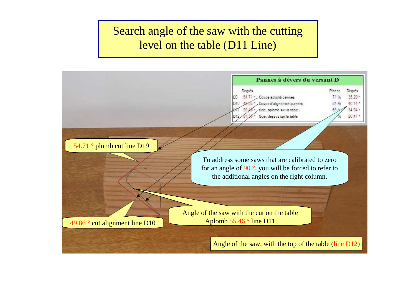# Search angle of the saw with the cutting level on the table (D11 Line)

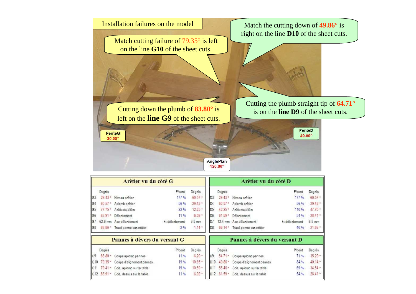

|                 |            | Arêtier vu du côté G            |                |                  |                 |                    | Arêtier vu du côté D         |                |                    |
|-----------------|------------|---------------------------------|----------------|------------------|-----------------|--------------------|------------------------------|----------------|--------------------|
|                 | Degrés     |                                 | Picent         | Degrés           |                 | Degrés             |                              | Picent         | Degrés             |
| G <sub>3</sub>  | 29.43      | Niveau arêtier                  | 177 %          | $60.57 -$        | D <sub>3</sub>  | 29.43°             | Niveau arêtier               | 177 %          | $60.57 -$          |
| G4              | $60.57$ *  | Aplomb arêtier                  | 56 %           | $29.43 -$        | D4              | 60.57<br>×         | Aplomb arêtier               | 56 %           | $29.43$ $^{\circ}$ |
| G <sub>5</sub>  | 77.75      | Arêtier/sablière                | 22 %           | 12.25            | D <sub>5</sub>  | $42.25$ $^{\circ}$ | Arêtier/sablière             | 110 %          | 47.75°             |
| G <sub>6</sub>  | $83.91 -$  | Délardement                     | 11 %           | $6.09 =$         | D6              | $61.59$ $*$        | Délardement                  | 54 %           | 28.41°             |
| G7              | 62.6 mm    | Axe délardement                 | ht delardement | $6.8 \text{ mm}$ | D7              | $12.4$ mm          | Axe délardement              | ht délardement | $6.8$ mm           |
| G <sub>8</sub>  |            | 88.86 * Tracé panne sur arêtier | 2%             | $1.14 =$         | D <sub>8</sub>  | 68.14 *            | Tracé panne sur arêtier      | 40%            | $21.86$ $^{\circ}$ |
|                 |            | Pannes à dévers du versant G    |                |                  |                 |                    | Pannes à dévers du versant D |                |                    |
|                 | Degrés     |                                 | P/cent         | Degrés           |                 | Degrés             |                              | P/cent         | Degrés             |
| G <sub>9</sub>  | 83.80<br>٠ | Coupe aplomb pannes             | 11 %           | $6.20 =$         | D9              | 54.71              | Coupe aplomb pannes          | 71%            | $35.29 -$          |
| G10             | $79.35 -$  | Coupe d'alignement pannes       | 19%            | $10.65 -$        | D10             | 49.86 *            | Coupe d'alignement pannes    | 84 %           | $40.14 -$          |
| G <sub>11</sub> | 79.41<br>÷ | Scie, aplomb sur la table       | 19%            | $10.59 =$        |                 | 5546°              | Scie, aplomb sur la table    | 69 %           | $34.54$ $^{\circ}$ |
| G12             | $83.91 -$  | Scie, dessus sur la table       | 11 %           | $6.09 -$         | D <sub>12</sub> | $61.59 -$          | Scie, dessus sur la table    | 54 %           | $28.41 -$          |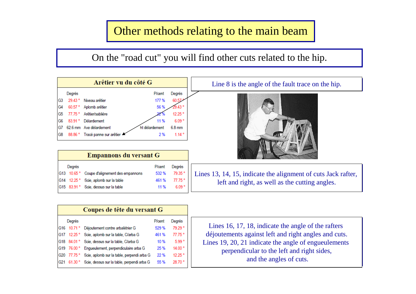## Other methods relating to the main beam

On the "road cut" you will find other cuts related to the hip.



| Coupes de tête du versant G |             |                                            |                |                    |  |  |  |
|-----------------------------|-------------|--------------------------------------------|----------------|--------------------|--|--|--|
|                             | Degrés      |                                            | <b>P</b> /cent | Degrés             |  |  |  |
| G16                         | 10.71°      | Déjoutement contre arbalétrier G           | 529 %          | 79.29 °            |  |  |  |
| G17                         | 12.25 °     | Scie, aplomb sur la table, C/arba G        | 461%           | 77.75°             |  |  |  |
| G18                         | 84.01°      | Scie, dessus sur la table, C/arba G        | 10 %           | 5.99°              |  |  |  |
|                             | G19 76.00 ° | Enqueulement, perpendiculaire arba G       | 25 %           | 14.00°             |  |  |  |
| G <sub>20</sub>             | 77.75 °     | Scie, aplomb sur la table, perpendi arba G | 22 %           | 12 25 <sup>°</sup> |  |  |  |
| G21                         | 61.30 °     | Scie, dessus sur la table, perpendi arba G | 55 %           | 28.70 <sup>°</sup> |  |  |  |

Lines 16, 17, 18, indicate the angle of the rafters déjoutements against left and right angles and Lines 19, 20, 21 indicate the angle of engueulements perpendicular to the left and right sides, déjoutements against left and right angles and cuts. and the angles of cuts.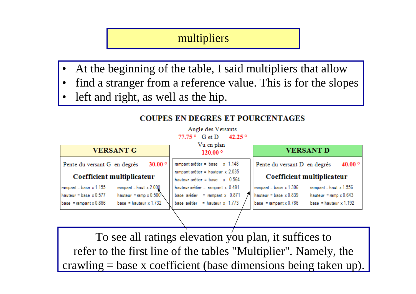#### multipliers

- •At the beginning of the table, I said multipliers that allow
- find a stranger from a reference value. This is for the slopes•
- •left and right, as well as the hip.

| <b>VERSANT G</b>                                          | Vu en plan<br>$120.00^{\circ}$                                          | <b>VERSANT D</b>                                          |  |  |
|-----------------------------------------------------------|-------------------------------------------------------------------------|-----------------------------------------------------------|--|--|
| 30.00 $^{\circ}$<br>Pente du versant G en degrés          | rampant arêtier = base $x$ 1.148                                        | 40.00 $^{\circ}$<br>Pente du versant D en degrés          |  |  |
| Coefficient multiplicateur                                | rampant arêtier = hauteur $x$ 2.035<br>hauteur arêtier = base $x$ 0.564 | Coefficient multiplicateur                                |  |  |
| rampant = haut $x 2.000$<br>rampant = base $x 1.155$      | hauteur arêtier = rampant $x$ 0.491                                     | rampant = haut $x 1.556$<br>rampant = base $\times$ 1.306 |  |  |
| hauteur = ramp $x 0.500$<br>hauteur = base $\times$ 0.577 | base arêtier = rampant $x$ 0.871                                        | hauteur = base $x$ 0.839<br>hauteur = ramp $x 0.643$      |  |  |
| base = hauteur $x$ 1.732<br>base = rampant $x 0.866$      | base arêtier = hauteur $x$ 1.773                                        | base = rampant $x$ 0.766<br>base = hauteur $x$ 1.192      |  |  |

**COUPES EN DEGRES ET POURCENTAGES** 

Angle des Versants 77.75 ° G et D 42.25 °

To see all ratings elevation you plan, it suffices to refer to the first line of the tables "Multiplier". Namely, thecrawling = base x coefficient (base dimensions being taken up).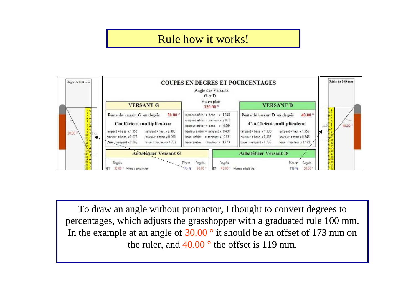## Rule how it works!



To draw an angle without protractor, I thought to convert degrees to percentages, which adjusts the grasshopper with a graduated rule 100 mm. In the example at an angle of 30.00  $^{\circ}$  it should be an offset of 173 mm on the ruler, and  $40.00^{\circ}$  the offset is 119 mm.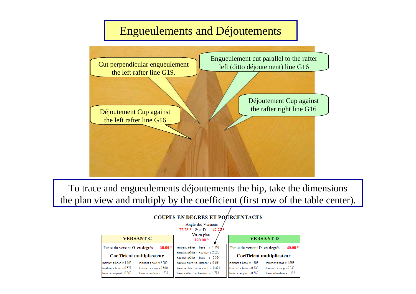#### Engueulements and Déjoutements



To trace and engueulements déjoutements the hip, take the dimensionsthe plan view and multiply by the coefficient (first row of the table center).

#### Angle des Versants

|                                                           | $42.25^{\circ}$<br>$77.75^{\circ}$ G et D                               |                                                           |
|-----------------------------------------------------------|-------------------------------------------------------------------------|-----------------------------------------------------------|
| <b>VERSANT G</b>                                          | Vu en plan<br>$120.00^{\circ}$                                          | <b>VERSANT D</b>                                          |
| 30.00 $^{\circ}$<br>Pente du versant G en degrés          | rampant arêtier = base $x$ 1.148                                        | 40.00<br>Pente du versant D en degrés                     |
| Coefficient multiplicateur                                | rampant arêtier = hauteur $x$ 2.035<br>hauteur arêtier = base $x$ 0.564 | Coefficient multiplicateur                                |
| rampant = haut $x 2.000$<br>rampant = base $\times$ 1.155 | hauteur arêtier = rampant $x$ 0.491                                     | rampant = base $\times$ 1.306<br>rampant = haut $x$ 1.556 |
| hauteur = ramp $x 0.500$<br>hauteur = base $x$ 0.577      | base arêtier = rampant $x$ 0.871                                        | hauteur = base $\times$ 0.839<br>hauteur = ramp $x 0.643$ |
| base = hauteur $x$ 1.732<br>$base =$ rampant x 0.866      | base arêtier = hauteur $x$ 1.773                                        | $base =$ rampant x 0.766<br>base = hauteur $x$ 1.192      |

#### **COUPES EN DEGRES ET POURCENTAGES**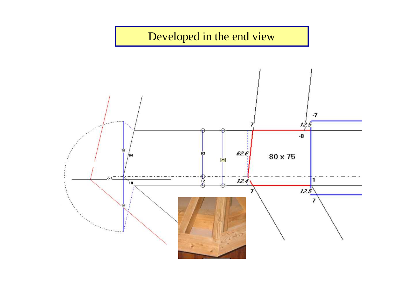

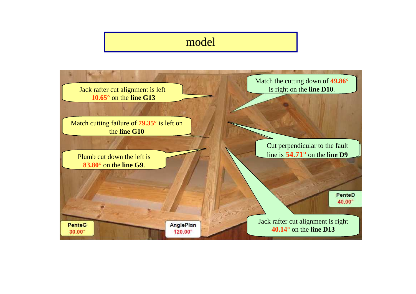#### model

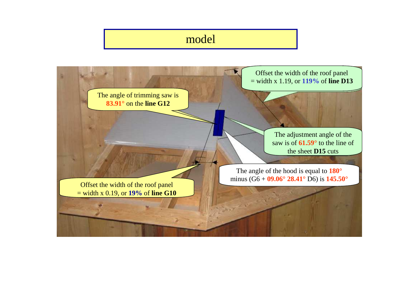# model

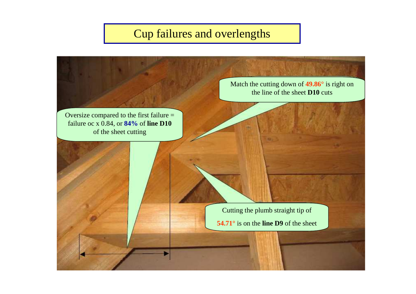# Cup failures and overlengths

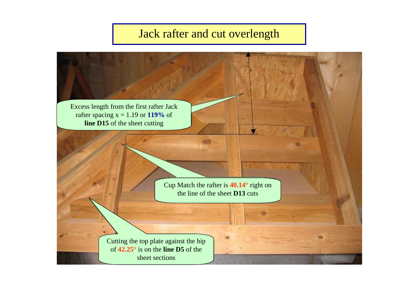## Jack rafter and cut overlength

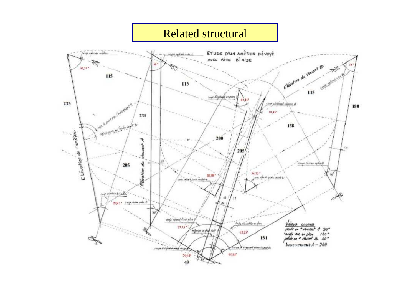#### Related structuralsaya nalento archer ETUDE D'UN ARETIER DÉVOYÉ AVEC RIVE BIRISE F Elérotion du vincont et  $60.57*$ 44 Vincent Court Office Line 115 115 and divisible comes 40.14\* gistamet edgave i 235 Jergent A. 180  $10,13''$ 231 mile de P<sup>our</sup><br>1945 de Parte **Pou<sup>r</sup>e Paris (Arabet de** )<br>1 138 E Lévation de l'arciter 200 Þ ÷ 45 205 噶 Court Ortes add @ 205 yior.  $54.72$ 器器 Here's years count says often pour mainter S home to all the  $\Omega$ 2013 - Coopinina And roome A expla *inda valued* to explain Valours connues  $77.75*$ pente un e vousant A 30"<br>angle vue en plan 120"<br>pente un e volumet & 40" mar ou unplot not  $42.25^*$ 151 base versant  $A = 2\theta\theta$ come integrand part moved N'alancore para disert (S **GRAN**  $4980$ 29,15  $43$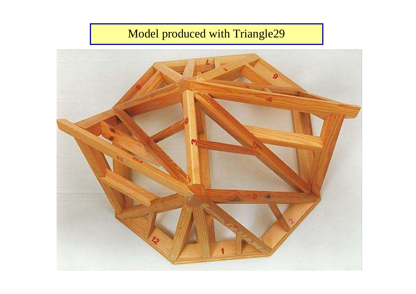# Model produced with Triangle29